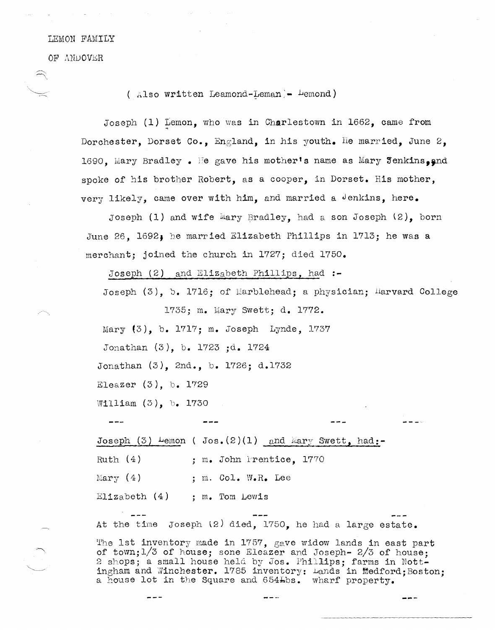## LEMON FAMILY

OF ANDOVER

## (  $Also$  written Leamond-Leman) - Demond)

Joseph  $(1)$  Lemon, who was in Charlestown in 1662, came from Dorchester, Dorset Co., England, in his youth. He married, June 2. 1690. Mary Bradley. He gave his mother's name as Mary Jenkins. and spoke of his brother Robert, as a cooper, in Dorset. His mother, very likely, came over with him, and married a Jenkins, here.

Joseph  $(1)$  and wife Mary Bradley, had a son Joseph  $(2)$ , born Sune 26, 1692, he married Elizabeth Phillips in 1713; he was a merchant; joined the church in 1727; died 1750.

Joseph (2) and Elizabeth Phillips, had **:-**

Joseph  $(3)$ , b. 1716; of Marblehead; a physician; Harvard College 1735; m. Mary Swett; d. 1772.

Mary (3), b. 1717; m. Joseph Lynde, 1737

Jonathan (3), b. 1723 ;d. 1724

Sonathan (3), 2nd., b. 1726; d.1732

Eleazer (3), b. 1729

William (3), b. 1730

 $- - -$ 

Joseph  $(3)$  Lemon ( Jos. $(2)(1)$  and Mary Swett, had:-Ruth  $(4)$ : m. John Prentice, 1770 Mary (4) ; m. Col. W.R. Lee

Elizabeth  $(4)$ , m. Tom Lewis

At the time Joseph  $(2)$  died, 1750, he had a large estate.

'l'he 1st inventory made in 1757, gave widow lands in east part of town;1/3 of house; sone Eleazer and Joseph- 2/3 of house; 2 shops; a small house held by Jos. Phillips; farms in Nottingham and Winchester. 1785 inventory: Lands in Medford;Boston; a house lot in the Square and 654Lbs. wharf property.

 $- -$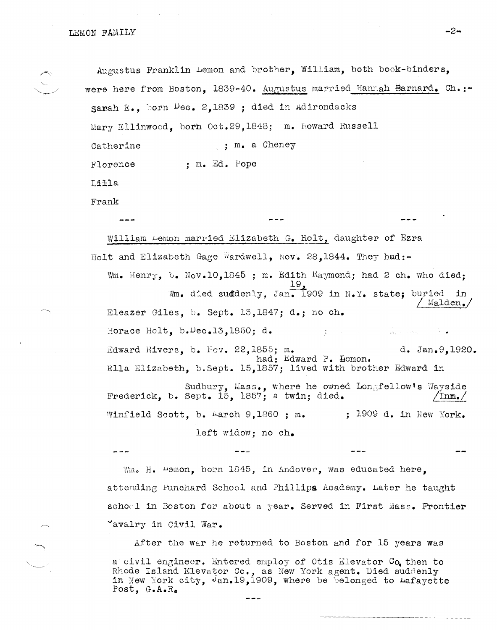LEMON FAM,ILY **-2-**

Augustus Franklin Lemon and brother, William, both book-binders, were here from Boston, 1839-40. Augustus married Hannah Barnard. Ch.: sarah E., born  $Dec. 2,1839$ ; died in Adirondacks Mary Ellinwood, born Oct.29,1848; m. Howard Russell Catherine  $\ldots$ , m. a Cheney Florence : m. Ed. Pope Lilla Frank William Lemon married Blizabeth G. Holt, daughter of Ezra Holt and Elizabeth Gage Wardwell, Nov. 28,1844. They had:-Wm. Henry, b. Nov.10,1845 ; m. Edith Kaymond; had 2 ch. who died;

 $Nm_{\bullet}$  died suddenly, Jan. 1909 in N.Y. state; buried in ried in.<br>Malden. Eleazer Giles, h. Sept. 13,1847; d.; no ch. Horace Holt, b. Uec.13,1850; d. المعتبر والقرابات  $\frac{\partial}{\partial t}$  . The set of  $\mathcal{S}$  $Rdward R1vers, b.  $Fov. 22,1855; m. d. Jan.9,1920.$$ had: Edward P. Hemon. Ella Elizabeth, b.Sept. 15,1857; lived with brother Edward in

Sudbury, Mass., where he owned Lon<sub>&</sub>fellow's Wayside<br>Frederick, b. Sept. 15, 1857; a twin; died. <u>/Inm./</u> Winfield Scott, b.  $M = 9,1860$  ; m.  $1909$  d. in New York.

left widow; no ch.

 $\mathbb{W}_{m}$ . H.  $\text{Lemma}$  born 1845, in Andover, was educated here, attending Punchard School and Phillips Academy. Later he taught schoel in Boston for about a year. Served in First Mass. Frontier 'avalry in Civil War.

After the war he returned to Boston and for 15 years was a civil engineer. Entered employ of Otis Klevator Co then to Rhode Island Elevator Co., as New York agent. Died suddenly in New York city, Jan.19,1909, where be belonged to Lafayette Post, G.A.Ro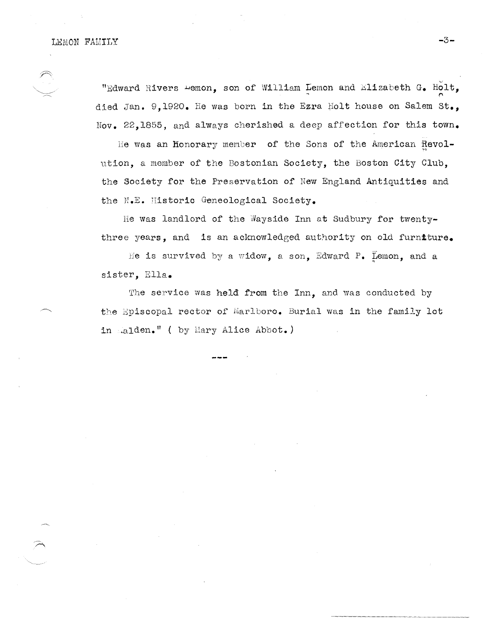## LEMON FAMILY **-3-**

"Edward Rivers  $\texttt{\texttt{H}}$ emon, son of William Lemon and Elizabeth G. Holt, died Jan. 9,1920. He was born in the Ezra Holt house on Salem **st.,**  Nov. 22,1855, and always cherished a deep affection for this town.

He was an Honorary member of the Sons of the American Revolution, a member of the Bostonian Society, the Boston City Club, the Society for the Preservation of New England Antiquities and the N.E. Historic Geneological Society.

He was landlord of the Wayside Inn at Sudbury for twentythree years, and is an acknowledged authority on old furniture.

He is survived by a widow, a son, Edward P. Lemon, and a sister, Ella.

The service was held from the Inn, and was conducted by the Episcopal rector of Marlboro. Burial was in the family lot in ..alden." ( by Mary Alice Abbot.)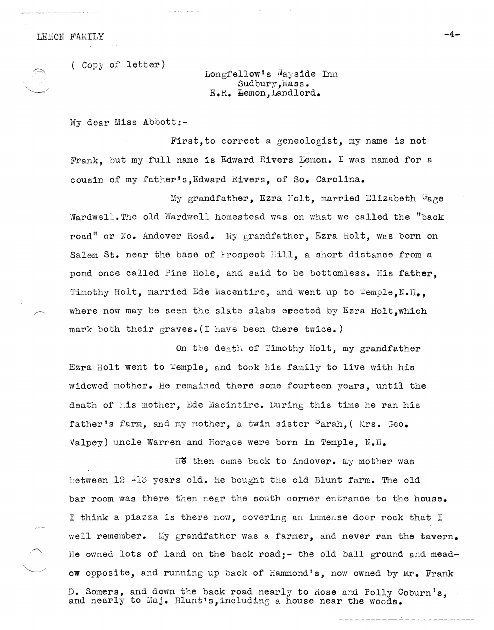LEMON FAMILY



( Copy of letter)

Longfellow's Wayside Inn Sudbury, Mass. E.R. Hemon, Landlord.

My dear Miss Abbott:-

First,to correct a geneologist, my name is not Frank, but my full name is Edward Rivers temon. I was named for a cousin of my father's, Edward Rivers, of So. Carolina.

My grandfather, Ezra Holt, married Elizabeth Gage Wardwell. The old Wardwell homestead was on what we called the "back road" or No. Andover Road. My grandfather. Ezra holt, was born on Salem St. near the base of Prospect Hill, a short distance from a pond once called Pine Hole, and said to be bottomless. His father, Timothy Holt, married Ede Macentire, and went up to  $\texttt{Temple.N.H.},$ where now may be seen the slate slabs erected by Ezra Holt.which mark both their graves. (I have been there twice.)

On the death of Timothy Holt, my grandfather Ezra Holt went to Temple, and took his family to live with his widowed mother. He remained there some fourteen years, until the death of his mother. Ede Macintire. During this time he ran his father's farm, and my mother, a twin sister  $\partial$ arah, (Mrs. Geo. Valpey) uncle Warren and Horace were born in Temple, N.H.

Hen came back to Andover. My mother was between  $12$  -13 years old. He bought the old Blunt farm. The old bar room was there then near the south corner entrance to the house. I think a piazza is there now, covering an immense door rock that I well remember. My grandfather was a farmer, and never ran the tavern. He ovmed lots of land on the back road; - the old ball ground and meadow opposite, and running up back of Hammond's, now owned by Mr. Frank D. Somers, and down the back road nearly to Rose and Polly Coburn's and nearly to Maj. Blunt's, including a house near the woods.

**-4-**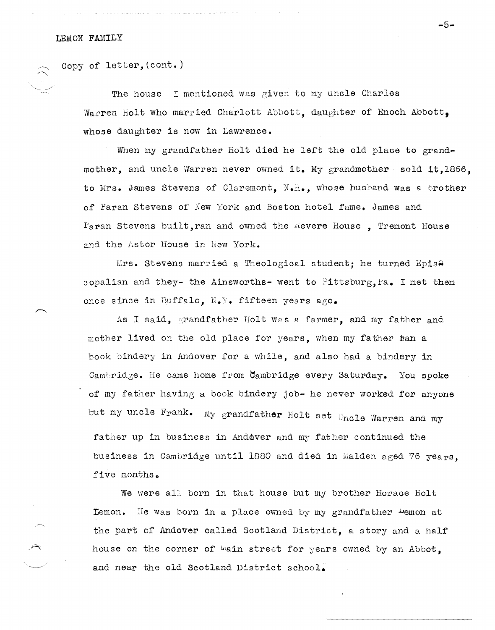Copy of letter,(cont.)

The house I mentioned was given to my uncle Charles Warren Holt who married Charlott Abbott, daughter of Enoch Abbott. whose daughter is now in Lawrence.

When my grandfather Holt died he left the old place to grandmother, and uncle Warren never owned **it.** My grandmother sold it,1866, to Mrs. James Stevens of Claremont, N.H., whose husband Was a brother of Paran stevens of New York and Boston hotel fame. James and  $P<sub>a</sub>$ ran Stevens built, ran and owned the Kevere House, Tremont House and the Astor House in New York.

Mrs. Stevens married a Theological student; he turned Epis $\Theta$ copalian and they- the Ainsworths- went to Pittsburg, Pa. I met them once since in Buffalo. N.Y. fifteen years ago.

As I said, grandfather Holt was a farmer, and my father and mother lived on the old place for years, when my father ran a book bindery in Andover for a while, and also had a bindery in Cambridge. He came home from  $\mathcal{C}_{\text{ambride}}$  every Saturday. You spoke of my father having a book bindery job- he never worked for anyone but my uncle Frank. My grandfather Holt set Uncle Warren and my

father up in business in Andover and my father continued the business in Cambridge until 1880 and died in Malden aged 76 years, five months.

We were all born in that house but my brother Horace Holt **Lemon.** He was born in a place owned by my grandfather  $\frac{1}{2}$ emon at the part of Andover called Scotland District, a story and a half house on the corner of *main* street for years owned by an Abbot. and near the old Scotland District school.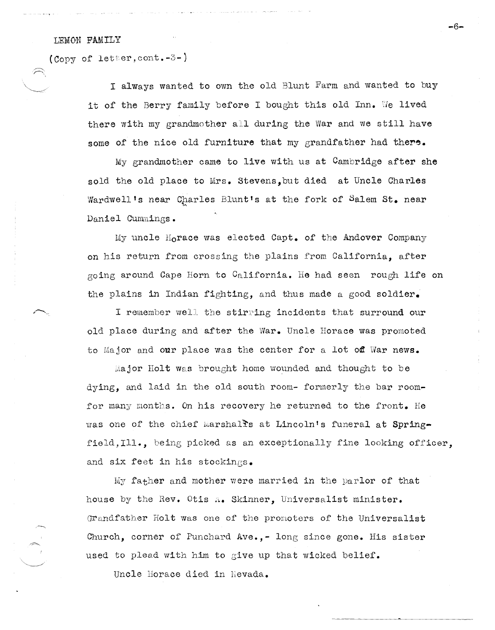## LEMON FAMILY

 $\bigcup_{i=1}^n a_i$ 

(Copy of letter, cont.  $-3-$ )

I always wanted to own the old Blunt Farm and wanted to buy it of the Berry family before I bought this old Inn. We lived there with my grandmother all during the War and we still have some of the nice old furniture that my grandfather had there.

My grandmother came to live with us at Cambridge after she sold the old place to Mrs. Stevens,but died at Uncle Charles Wardwell's near Charles Blunt's at the fork of Salem St. near Daniel Cummings.

My uncle Horace was elected Capt. of the Andover Company on his return from crossing the plains from California, after going around Cape Horn to California. He had seen rough life on the plains in Indian fighting, and thus made a good soldier.

I remember well the stirring incidents that surround our old place during and after the War. Uncle Horace was promoted to Major and our place was the center for a lot off War news.

 $M$ ajor Holt was brought home wounded and thought to be dying, and laid in the old south room- formerly the bar roomfor many months. On his recovery he returned to the front. He was one of the chief Marshalls at Lincoln's funeral at Springfield,Ill., being picked as an exceptionally fine looking officer, and six feet in his stockings.

My father and mother were married in the parlor of that house by the Rev. Otis A. Skinner, Universalist minister. Grandfather Holt was one of the promoters of the Universalist Church, corner of Punchard Ave., - long since gone. His sister used to plead with him to give up that wicked belief.

Uncle Horace died in Nevada.

-6-